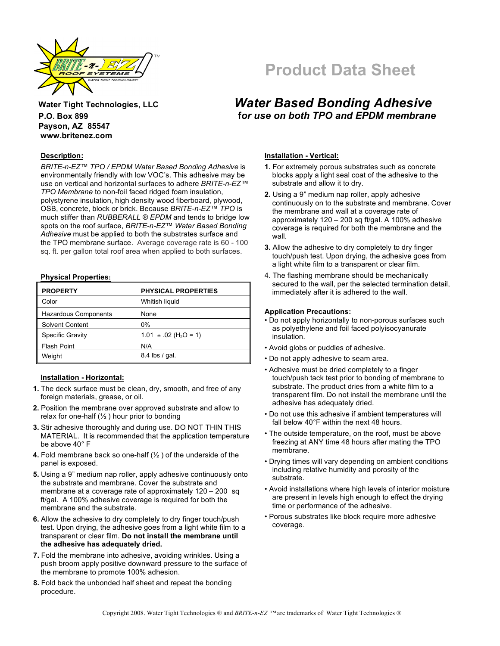

# **Payson, AZ 85547 www.britenez.com**

#### **Description:**

*BRITE-n-EZ™ TPO / EPDM Water Based Bonding Adhesive* is environmentally friendly with low VOC's. This adhesive may be use on vertical and horizontal surfaces to adhere *BRITE-n-EZ™ TPO Membrane* to non-foil faced ridged foam insulation, polystyrene insulation, high density wood fiberboard, plywood, OSB, concrete, block or brick. Because *BRITE-n-EZ™ TPO* is much stiffer than *RUBBERALL* ® *EPDM* and tends to bridge low spots on the roof surface, *BRITE-n-EZ™ Water Based Bonding Adhesive* must be applied to both the substrates surface and the TPO membrane surface. Average coverage rate is 60 - 100 sq. ft. per gallon total roof area when applied to both surfaces.

#### **Physical Properties:**

| <b>PROPERTY</b>             | <b>PHYSICAL PROPERTIES</b>            |
|-----------------------------|---------------------------------------|
| Color                       | Whitish liquid                        |
| <b>Hazardous Components</b> | None                                  |
| <b>Solvent Content</b>      | $0\%$                                 |
| Specific Gravity            | $1.01 \pm .02$ (H <sub>2</sub> O = 1) |
| <b>Flash Point</b>          | N/A                                   |
| Weight                      | 8.4 lbs / gal.                        |

#### **Installation - Horizontal:**

- **1.** The deck surface must be clean, dry, smooth, and free of any foreign materials, grease, or oil.
- **2.** Position the membrane over approved substrate and allow to relax for one-half  $(½)$  hour prior to bonding
- **3.** Stir adhesive thoroughly and during use. DO NOT THIN THIS MATERIAL. It is recommended that the application temperature be above 40° F
- **4.** Fold membrane back so one-half (½ ) of the underside of the panel is exposed.
- **5.** Using a 9" medium nap roller, apply adhesive continuously onto the substrate and membrane. Cover the substrate and membrane at a coverage rate of approximately 120 – 200 sq ft/gal. A 100% adhesive coverage is required for both the membrane and the substrate.
- **6.** Allow the adhesive to dry completely to dry finger touch/push test. Upon drying, the adhesive goes from a light white film to a transparent or clear film. **Do not install the membrane until the adhesive has adequately dried.**
- **7.** Fold the membrane into adhesive, avoiding wrinkles. Using a push broom apply positive downward pressure to the surface of the membrane to promote 100% adhesion.
- **8.** Fold back the unbonded half sheet and repeat the bonding procedure.

# **Product Data Sheet**

### **Water Tight Technologies, LLC** *Water Based Bonding Adhesive* **P.O. Box 899 f***or use on both TPO and EPDM membrane*

#### **Installation - Vertical:**

- **1.** For extremely porous substrates such as concrete blocks apply a light seal coat of the adhesive to the substrate and allow it to dry.
- **2.** Using a 9" medium nap roller, apply adhesive continuously on to the substrate and membrane. Cover the membrane and wall at a coverage rate of approximately  $120 - 200$  sq ft/gal. A 100% adhesive coverage is required for both the membrane and the wall.
- **3.** Allow the adhesive to dry completely to dry finger touch/push test. Upon drying, the adhesive goes from a light white film to a transparent or clear film.
- 4. The flashing membrane should be mechanically secured to the wall, per the selected termination detail, immediately after it is adhered to the wall.

#### **Application Precautions:**

- Do not apply horizontally to non-porous surfaces such as polyethylene and foil faced polyisocyanurate insulation.
- Avoid globs or puddles of adhesive.
- Do not apply adhesive to seam area.
- Adhesive must be dried completely to a finger touch/push tack test prior to bonding of membrane to substrate. The product dries from a white film to a transparent film. Do not install the membrane until the adhesive has adequately dried.
- Do not use this adhesive if ambient temperatures will fall below 40°F within the next 48 hours.
- The outside temperature, on the roof, must be above freezing at ANY time 48 hours after mating the TPO membrane.
- Drying times will vary depending on ambient conditions including relative humidity and porosity of the substrate.
- Avoid installations where high levels of interior moisture are present in levels high enough to effect the drying time or performance of the adhesive.
- Porous substrates like block require more adhesive coverage.